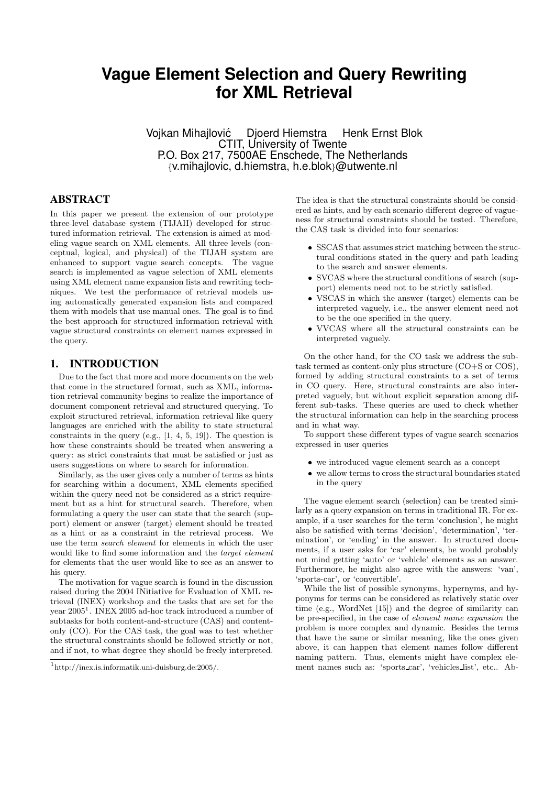# **Vague Element Selection and Query Rewriting for XML Retrieval**

Vojkan Mihajlovic´ Djoerd Hiemstra Henk Ernst Blok CTIT, University of Twente P.O. Box 217, 7500AE Enschede, The Netherlands {v.mihajlovic, d.hiemstra, h.e.blok}@utwente.nl

# **ABSTRACT**

In this paper we present the extension of our prototype three-level database system (TIJAH) developed for structured information retrieval. The extension is aimed at modeling vague search on XML elements. All three levels (conceptual, logical, and physical) of the TIJAH system are enhanced to support vague search concepts. The vague search is implemented as vague selection of XML elements using XML element name expansion lists and rewriting techniques. We test the performance of retrieval models using automatically generated expansion lists and compared them with models that use manual ones. The goal is to find the best approach for structured information retrieval with vague structural constraints on element names expressed in the query.

#### **1. INTRODUCTION**

Due to the fact that more and more documents on the web that come in the structured format, such as XML, information retrieval community begins to realize the importance of document component retrieval and structured querying. To exploit structured retrieval, information retrieval like query languages are enriched with the ability to state structural constraints in the query (e.g., [1, 4, 5, 19]). The question is how these constraints should be treated when answering a query: as strict constraints that must be satisfied or just as users suggestions on where to search for information.

Similarly, as the user gives only a number of terms as hints for searching within a document, XML elements specified within the query need not be considered as a strict requirement but as a hint for structural search. Therefore, when formulating a query the user can state that the search (support) element or answer (target) element should be treated as a hint or as a constraint in the retrieval process. We use the term search element for elements in which the user would like to find some information and the *target element* for elements that the user would like to see as an answer to his query.

The motivation for vague search is found in the discussion raised during the 2004 INitiative for Evaluation of XML retrieval (INEX) workshop and the tasks that are set for the year  $2005<sup>1</sup>$ . INEX 2005 ad-hoc track introduced a number of subtasks for both content-and-structure (CAS) and contentonly (CO). For the CAS task, the goal was to test whether the structural constraints should be followed strictly or not, and if not, to what degree they should be freely interpreted.

The idea is that the structural constraints should be considered as hints, and by each scenario different degree of vagueness for structural constraints should be tested. Therefore, the CAS task is divided into four scenarios:

- SSCAS that assumes strict matching between the structural conditions stated in the query and path leading to the search and answer elements.
- SVCAS where the structural conditions of search (support) elements need not to be strictly satisfied.
- VSCAS in which the answer (target) elements can be interpreted vaguely, i.e., the answer element need not to be the one specified in the query.
- VVCAS where all the structural constraints can be interpreted vaguely.

On the other hand, for the CO task we address the subtask termed as content-only plus structure (CO+S or COS), formed by adding structural constraints to a set of terms in CO query. Here, structural constraints are also interpreted vaguely, but without explicit separation among different sub-tasks. These queries are used to check whether the structural information can help in the searching process and in what way.

To support these different types of vague search scenarios expressed in user queries

- we introduced vague element search as a concept
- we allow terms to cross the structural boundaries stated in the query

The vague element search (selection) can be treated similarly as a query expansion on terms in traditional IR. For example, if a user searches for the term 'conclusion', he might also be satisfied with terms 'decision', 'determination', 'termination', or 'ending' in the answer. In structured documents, if a user asks for 'car' elements, he would probably not mind getting 'auto' or 'vehicle' elements as an answer. Furthermore, he might also agree with the answers: 'van', 'sports-car', or 'convertible'.

While the list of possible synonyms, hypernyms, and hyponyms for terms can be considered as relatively static over time (e.g., WordNet [15]) and the degree of similarity can be pre-specified, in the case of element name expansion the problem is more complex and dynamic. Besides the terms that have the same or similar meaning, like the ones given above, it can happen that element names follow different naming pattern. Thus, elements might have complex element names such as: 'sports car', 'vehicles list', etc.. Ab-

<sup>1</sup> http://inex.is.informatik.uni-duisburg.de:2005/.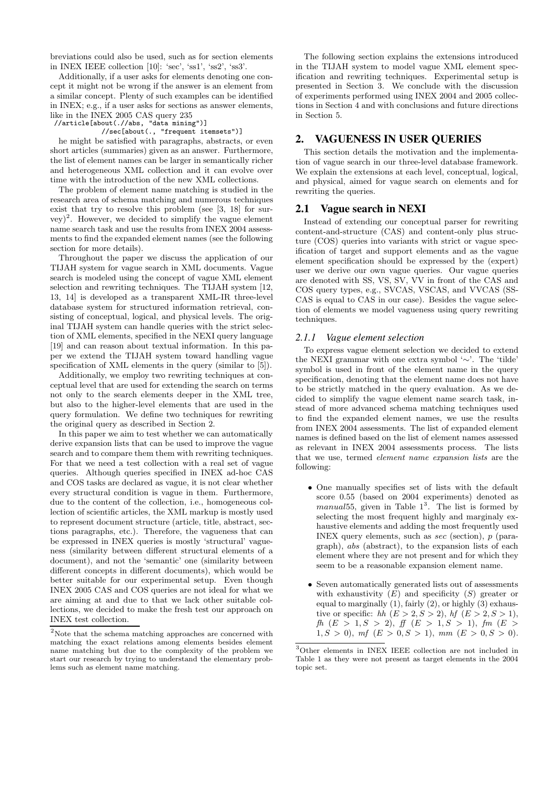breviations could also be used, such as for section elements in INEX IEEE collection [10]: 'sec', 'ss1', 'ss2', 'ss3'.

Additionally, if a user asks for elements denoting one concept it might not be wrong if the answer is an element from a similar concept. Plenty of such examples can be identified in INEX; e.g., if a user asks for sections as answer elements, like in the INEX 2005 CAS query 235 //article[about(.//abs, "data mining")]

//sec[about(., "frequent itemsets")]

he might be satisfied with paragraphs, abstracts, or even short articles (summaries) given as an answer. Furthermore, the list of element names can be larger in semantically richer and heterogeneous XML collection and it can evolve over time with the introduction of the new XML collections.

The problem of element name matching is studied in the research area of schema matching and numerous techniques exist that try to resolve this problem (see [3, 18] for sur- $(vey)^2$ . However, we decided to simplify the vague element name search task and use the results from INEX 2004 assessments to find the expanded element names (see the following section for more details).

Throughout the paper we discuss the application of our TIJAH system for vague search in XML documents. Vague search is modeled using the concept of vague XML element selection and rewriting techniques. The TIJAH system [12, 13, 14] is developed as a transparent XML-IR three-level database system for structured information retrieval, consisting of conceptual, logical, and physical levels. The original TIJAH system can handle queries with the strict selection of XML elements, specified in the NEXI query language [19] and can reason about textual information. In this paper we extend the TIJAH system toward handling vague specification of XML elements in the query (similar to [5]).

Additionally, we employ two rewriting techniques at conceptual level that are used for extending the search on terms not only to the search elements deeper in the XML tree, but also to the higher-level elements that are used in the query formulation. We define two techniques for rewriting the original query as described in Section 2.

In this paper we aim to test whether we can automatically derive expansion lists that can be used to improve the vague search and to compare them them with rewriting techniques. For that we need a test collection with a real set of vague queries. Although queries specified in INEX ad-hoc CAS and COS tasks are declared as vague, it is not clear whether every structural condition is vague in them. Furthermore, due to the content of the collection, i.e., homogeneous collection of scientific articles, the XML markup is mostly used to represent document structure (article, title, abstract, sections paragraphs, etc.). Therefore, the vagueness that can be expressed in INEX queries is mostly 'structural' vagueness (similarity between different structural elements of a document), and not the 'semantic' one (similarity between different concepts in different documents), which would be better suitable for our experimental setup. Even though INEX 2005 CAS and COS queries are not ideal for what we are aiming at and due to that we lack other suitable collections, we decided to make the fresh test our approach on INEX test collection.

The following section explains the extensions introduced in the TIJAH system to model vague XML element specification and rewriting techniques. Experimental setup is presented in Section 3. We conclude with the discussion of experiments performed using INEX 2004 and 2005 collections in Section 4 and with conclusions and future directions in Section 5.

#### **2. VAGUENESS IN USER QUERIES**

This section details the motivation and the implementation of vague search in our three-level database framework. We explain the extensions at each level, conceptual, logical, and physical, aimed for vague search on elements and for rewriting the queries.

#### **2.1 Vague search in NEXI**

Instead of extending our conceptual parser for rewriting content-and-structure (CAS) and content-only plus structure (COS) queries into variants with strict or vague specification of target and support elements and as the vague element specification should be expressed by the (expert) user we derive our own vague queries. Our vague queries are denoted with SS, VS, SV, VV in front of the CAS and COS query types, e.g., SVCAS, VSCAS, and VVCAS (SS-CAS is equal to CAS in our case). Besides the vague selection of elements we model vagueness using query rewriting techniques.

#### *2.1.1 Vague element selection*

To express vague element selection we decided to extend the NEXI grammar with one extra symbol '∼'. The 'tilde' symbol is used in front of the element name in the query specification, denoting that the element name does not have to be strictly matched in the query evaluation. As we decided to simplify the vague element name search task, instead of more advanced schema matching techniques used to find the expanded element names, we use the results from INEX 2004 assessments. The list of expanded element names is defined based on the list of element names assessed as relevant in INEX 2004 assessments process. The lists that we use, termed element name expansion lists are the following:

- One manually specifies set of lists with the default score 0.55 (based on 2004 experiments) denoted as  $manual55$ , given in Table  $1<sup>3</sup>$ . The list is formed by selecting the most frequent highly and marginaly exhaustive elements and adding the most frequently used INEX query elements, such as sec (section), p (paragraph), abs (abstract), to the expansion lists of each element where they are not present and for which they seem to be a reasonable expansion element name.
- Seven automatically generated lists out of assessments with exhaustivity  $(E)$  and specificity  $(S)$  greater or equal to marginally  $(1)$ , fairly  $(2)$ , or highly  $(3)$  exhaustive or specific: hh  $(E > 2, S > 2)$ , hf  $(E > 2, S > 1)$ ,  $fh (E > 1, S > 2), ff (E > 1, S > 1), fm (E > 1)$  $1, S > 0$ , mf  $(E > 0, S > 1)$ , mm  $(E > 0, S > 0)$ .

 $^2\rm{Note}$  that the schema matching approaches are concerned with matching the exact relations among elements besides element name matching but due to the complexity of the problem we start our research by trying to understand the elementary problems such as element name matching.

<sup>3</sup>Other elements in INEX IEEE collection are not included in Table 1 as they were not present as target elements in the 2004 topic set.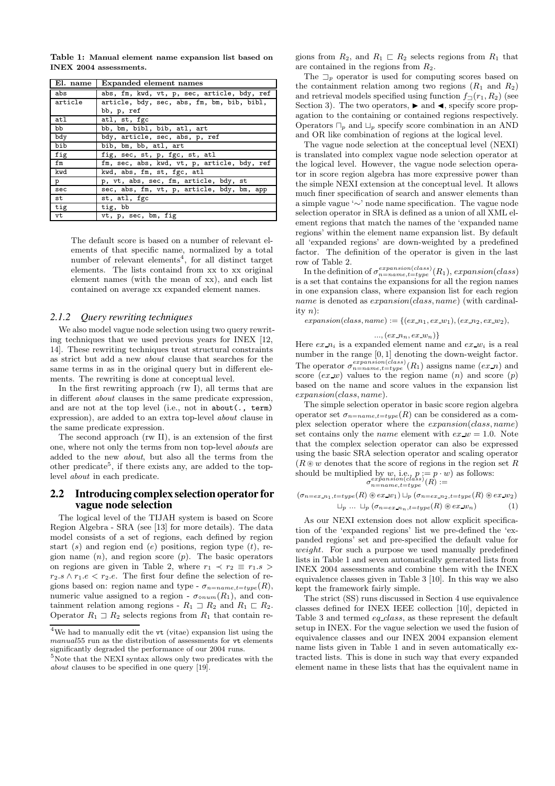Table 1: Manual element name expansion list based on INEX 2004 assessments.

| El. name | Expanded element names                      |
|----------|---------------------------------------------|
| abs      | abs, fm, kwd, vt, p, sec, article, bdy, ref |
| article  | article, bdy, sec, abs, fm, bm, bib, bibl,  |
|          | bb, p, ref                                  |
| atl      | atl, st, fgc                                |
| bb       | bb, bm, bibl, bib, atl, art                 |
| bdy      | bdy, article, sec, abs, p, ref              |
| bib      | bib, bm, bb, atl, art                       |
| fig      | fig, sec, st, p, fgc, st, atl               |
| fm       | fm, sec, abs, kwd, vt, p, article, bdy, ref |
| kwd      | kwd, abs, fm, st, fgc, atl                  |
| p        | p, vt, abs, sec, fm, article, bdy, st       |
| sec      | sec, abs, fm, vt, p, article, bdy, bm, app  |
| st       | st, atl, fgc                                |
| tig      | tig, bb                                     |
| vt       | vt, p, sec, bm, fig                         |

The default score is based on a number of relevant elements of that specific name, normalized by a total number of relevant elements<sup>4</sup>, for all distinct target elements. The lists containd from xx to xx original element names (with the mean of xx), and each list contained on average xx expanded element names.

#### *2.1.2 Query rewriting techniques*

We also model vague node selection using two query rewriting techniques that we used previous years for INEX [12, 14]. These rewriting techniques treat structural constraints as strict but add a new about clause that searches for the same terms in as in the original query but in different elements. The rewriting is done at conceptual level.

In the first rewriting approach (rw I), all terms that are in different about clauses in the same predicate expression, and are not at the top level (i.e., not in about(., term) expression), are added to an extra top-level about clause in the same predicate expression.

The second approach (rw II), is an extension of the first one, where not only the terms from non top-level abouts are added to the new about, but also all the terms from the other predicate<sup>5</sup>, if there exists any, are added to the toplevel about in each predicate.

#### **2.2 Introducing complex selection operator for vague node selection**

The logical level of the TIJAH system is based on Score Region Algebra - SRA (see [13] for more details). The data model consists of a set of regions, each defined by region start (s) and region end (e) positions, region type  $(t)$ , region name  $(n)$ , and region score  $(p)$ . The basic operators on regions are given in Table 2, where  $r_1 \prec r_2 \equiv r_1.s$  $r_2.s \wedge r_1.e < r_2.e.$  The first four define the selection of regions based on: region name and type -  $\sigma_{n=name, t=type}(R)$ , numeric value assigned to a region -  $\sigma_{\text{onum}}(R_1)$ , and containment relation among regions -  $R_1 \supseteq R_2$  and  $R_1 \sqsubset R_2$ . Operator  $R_1 \supseteq R_2$  selects regions from  $R_1$  that contain regions from  $R_2$ , and  $R_1 \rvert R_2$  selects regions from  $R_1$  that are contained in the regions from  $R_2$ .

The  $\Box_p$  operator is used for computing scores based on the containment relation among two regions  $(R_1 \text{ and } R_2)$ and retrieval models specified using function  $f_{\Box}(r_1, R_2)$  (see Section 3). The two operators,  $\blacktriangleright$  and  $\blacktriangleleft$ , specify score propagation to the containing or contained regions respectively. Operators  $\Box_p$  and  $\Box_p$  specify score combination in an AND and OR like combination of regions at the logical level.

The vague node selection at the conceptual level (NEXI) is translated into complex vague node selection operator at the logical level. However, the vague node selection operator in score region algebra has more expressive power than the simple NEXI extension at the conceptual level. It allows much finer specification of search and answer elements than a simple vague '∼' node name specification. The vague node selection operator in SRA is defined as a union of all XML element regions that match the names of the 'expanded name regions' within the element name expansion list. By default all 'expanded regions' are down-weighted by a predefined factor. The definition of the operator is given in the last row of Table 2.

In the definition of  $\sigma_{n=name,t=type}^{expansion(class)}(R_1)$ ,  $expansion(class)$ is a set that contains the expansions for all the region names in one expansion class, where expansion list for each region name is denoted as  $expansion(class, name)$  (with cardinality  $n$ :

 $expansion(class, name) := \{(ex\_n_1, ex\_w_1), (ex\_n_2, ex\_w_2),$ 

$$
..., (ex\_n_n, ex\_w_n)\}
$$

Here  $ex\ n_i$  is a expanded element name and  $ex\ w_i$  is a real number in the range [0, 1] denoting the down-weight factor. The operator  $\sigma_{n=name,t=type}^{expansion(class)}(R_1)$  assigns name  $(ex\_n)$  and score  $(ex \neg w)$  values to the region name  $(n)$  and score  $(p)$ based on the name and score values in the expansion list expansion(class, name).

The simple selection operator in basic score region algebra operator set  $\sigma_{n=name, t=type}(R)$  can be considered as a complex selection operator where the expansion(class, name) set contains only the *name* element with  $ex_{w} = 1.0$ . Note that the complex selection operator can also be expressed using the basic SRA selection operator and scaling operator  $(R \otimes w$  denotes that the score of regions in the region set R should be multiplied by  $w$ , i.e.,  $p := p \cdot w$  as follows:

$$
\sigma_{n = name, t = type}^{expanson(class)}(R) :=
$$

$$
(\sigma_{n=ex\ldots n_1, t=type}(R) \circledast ex\ldots w_1) \sqcup_p (\sigma_{n=ex\ldots n_2, t=type}(R) \circledast ex\ldots w_2)
$$
  

$$
\sqcup_p \ldots \sqcup_p (\sigma_{n=ex\ldots n_1, t=type}(R) \circledast ex\ldots w_n)
$$
 (1)

As our NEXI extension does not allow explicit specification of the 'expanded regions' list we pre-defined the 'expanded regions' set and pre-specified the default value for weight. For such a purpose we used manually predefined lists in Table 1 and seven automatically generated lists from INEX 2004 assessments and combine them with the INEX equivalence classes given in Table 3 [10]. In this way we also kept the framework fairly simple.

The strict (SS) runs discussed in Section 4 use equivalence classes defined for INEX IEEE collection [10], depicted in Table 3 and termed eq class, as these represent the default setup in INEX. For the vague selection we used the fusion of equivalence classes and our INEX 2004 expansion element name lists given in Table 1 and in seven automatically extracted lists. This is done in such way that every expanded element name in these lists that has the equivalent name in

<sup>4</sup>We had to manually edit the vt (vitae) expansion list using the manual55 run as the distribution of assessments for vt elements significantly degraded the performance of our 2004 runs.

 ${}^{5}\mathrm{Note}$  that the NEXI syntax allows only two predicates with the about clauses to be specified in one query [19].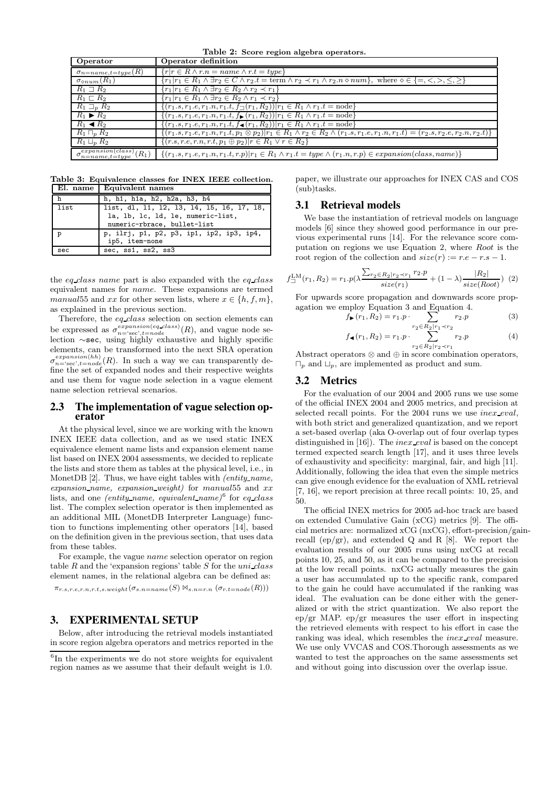Table 2: Score region algebra operators.

| Operator                                              | Operator definition                                                                                                                                                         |
|-------------------------------------------------------|-----------------------------------------------------------------------------------------------------------------------------------------------------------------------------|
| $\sigma_{n = name, t = type}(R)$                      | $\{r r \in R \wedge r.n = name \wedge r.t = type\}$                                                                                                                         |
| $\sigma_{\diamond num}(R_1)$                          | ${T_1 r_1 \in R_1 \wedge \exists r_2 \in C \wedge r_2.t = \text{term} \wedge r_2 \prec r_1 \wedge r_2.n \diamond num}, \text{ where } \diamond \in \{=, <, >, \leq, \geq\}$ |
| $R_1 \square R_2$                                     | ${r_1 r_1 \in R_1 \land \exists r_2 \in R_2 \land r_2 \prec r_1}$                                                                                                           |
| $R_1 \sqsubset R_2$                                   | ${r_1 r_1 \in R_1 \wedge \exists r_2 \in R_2 \wedge r_1 \prec r_2}$                                                                                                         |
| $R_1 \sqsupset_R R_2$                                 | $\{(r_1.s, r_1.e, r_1.n, r_1.t, f_{\square}(r_1, R_2))   r_1 \in R_1 \wedge r_1.t = node\}$                                                                                 |
| $R_1 \triangleright R_2$                              | $\{(r_1.s, r_1.e, r_1.n, r_1.t, f_{\blacktriangleright}(r_1, R_2))   r_1 \in R_1 \land r_1.t = node\}$                                                                      |
| $R_1 \triangleleft R_2$                               | $\{(r_1.s, r_1.e, r_1.n, r_1.t, f_{\blacktriangleleft}(r_1, R_2))   r_1 \in R_1 \land r_1.t = \text{node}\}\$                                                               |
| $R_1 \sqcap_n R_2$                                    | $\{(r_1,s,r_1,e,r_1,n,r_1,t,p_1\otimes p_2) r_1\in R_1\wedge r_2\in R_2\wedge (r_1,s,r_1,e,r_1,n,r_1,t)=(r_2,s,r_2,e,r_2,n,r_2,t)\}\$                                       |
| $R_1 \sqcup_p R_2$                                    | $\{(r.s, r.e, r.n, r.t, p_1 \oplus p_2)  r \in R_1 \lor r \in R_2\}$                                                                                                        |
| $\sigma_{n = name, t = type}^{expansion(class)}(R_1)$ | $\{(r_1.s, r_1.e, r_1.n, r_1.t, r.p) r_1 \in R_1 \land r_1.t = type \land (r_1.n, r.p) \in expansion(class, name)\}\$                                                       |

Table 3: Equivalence classes for INEX IEEE collection. El. name Equivalent names

| ------------ | <b>Equivalent</b> manifes                 |
|--------------|-------------------------------------------|
| h            | h, h1, h1a, h2, h2a, h3, h4               |
| list         | list, dl, 11, 12, 13, 14, 15, 16, 17, 18, |
|              | la, lb, lc, ld, le, numeric-list,         |
|              | numeric-rbrace, bullet-list               |
| D            | p, ilrj, p1, p2, p3, ip1, ip2, ip3, ip4,  |
|              | ip5, item-none                            |
| sec          | sec, ssl, ss2, ss3                        |

the eq class name part is also expanded with the  $eq$ -class equivalent names for name. These expansions are termed manual55 and xx for other seven lists, where  $x \in \{h, f, m\},\$ as explained in the previous section.

Therefore, the eq class selection on section elements can be expressed as  $\sigma_{n=\text{sec},t=node}^{expansion(eq\_class)}(R)$ , and vague node selection ∼sec, using highly exhaustive and highly specific elements, can be transformed into the next SRA operation  $\sigma_{n=\text{sec}\,t=node}^{expansion(hh)}(R)$ . In such a way we can transparently define the set of expanded nodes and their respective weights and use them for vague node selection in a vague element name selection retrieval scenarios.

#### **2.3 The implementation of vague selection operator**

At the physical level, since we are working with the known INEX IEEE data collection, and as we used static INEX equivalence element name lists and expansion element name list based on INEX 2004 assessments, we decided to replicate the lists and store them as tables at the physical level, i.e., in MonetDB [2]. Thus, we have eight tables with *(entity\_name,* expansion name, expansion weight) for manual  $55$  and  $xx$ lists, and one *(entity\_name, equivalent\_name)*<sup>6</sup> for *eq\_class* list. The complex selection operator is then implemented as an additional MIL (MonetDB Interpreter Language) function to functions implementing other operators [14], based on the definition given in the previous section, that uses data from these tables.

For example, the vague name selection operator on region table  $R$  and the 'expansion regions' table  $S$  for the  $uni\_class$ element names, in the relational algebra can be defined as:

 $\pi_{r.s,r.e,r.n,r.t,s.weight}(\sigma_{s.n=name}(S) \Join_{s.n=r.n} (\sigma_{r.t=node}(R)))$ 

## **3. EXPERIMENTAL SETUP**

Below, after introducing the retrieval models instantiated in score region algebra operators and metrics reported in the paper, we illustrate our approaches for INEX CAS and COS (sub)tasks.

## **3.1 Retrieval models**

We base the instantiation of retrieval models on language models [6] since they showed good performance in our previous experimental runs [14]. For the relevance score computation on regions we use Equation 2, where Root is the root region of the collection and  $size(r) := r.e - r.s - 1$ .

$$
f_{\square}^{\text{LM}}(r_1, R_2) = r_1 \cdot p(\lambda \frac{\sum_{r_2 \in R_2 | r_2 \prec r_1} r_2 \cdot p}{size(r_1)} + (1 - \lambda) \frac{|R_2|}{size(Root)}) \tag{2}
$$

For upwards score propagation and downwards score propagation we employ Equation 3 and Equation 4.

$$
f_{\blacktriangleright}(r_1, R_2) = r_1 \cdot p \cdot \sum_{r_2 \in R_2 | r_1 \prec r_2} r_2 \cdot p \tag{3}
$$

$$
f_{\blacktriangleleft}(r_1, R_2) = r_1 \cdot p \cdot \sum_{r_2 \in R_2 | r_2 \prec r_1} r_2 \cdot p \tag{4}
$$

 $r_2 \in R_2 | r_2 \prec r_1$ <br>Abstract operators ⊗ and ⊕ in score combination operators,  $\Box_n$  and  $\Box_n$ , are implemented as product and sum.

#### **3.2 Metrics**

For the evaluation of our 2004 and 2005 runs we use some of the official INEX 2004 and 2005 metrics, and precision at selected recall points. For the 2004 runs we use inex eval, with both strict and generalized quantization, and we report a set-based overlap (aka O-overlap out of four overlap types distinguished in [16]). The *inex eval* is based on the concept termed expected search length [17], and it uses three levels of exhaustivity and specificity: marginal, fair, and high [11]. Additionally, following the idea that even the simple metrics can give enough evidence for the evaluation of XML retrieval [7, 16], we report precision at three recall points: 10, 25, and 50.

The official INEX metrics for 2005 ad-hoc track are based on extended Cumulative Gain (xCG) metrics [9]. The official metrics are: normalized xCG (nxCG), effort-precision/gainrecall  $(ep/gr)$ , and extended Q and R [8]. We report the evaluation results of our 2005 runs using nxCG at recall points 10, 25, and 50, as it can be compared to the precision at the low recall points. nxCG actually measures the gain a user has accumulated up to the specific rank, compared to the gain he could have accumulated if the ranking was ideal. The evaluation can be done either with the generalized or with the strict quantization. We also report the ep/gr MAP. ep/gr measures the user effort in inspecting the retrieved elements with respect to his effort in case the ranking was ideal, which resembles the *inex eval* measure. We use only VVCAS and COS.Thorough assessments as we wanted to test the approaches on the same assessments set and without going into discussion over the overlap issue.

<sup>6</sup> In the experiments we do not store weights for equivalent region names as we assume that their default weight is 1.0.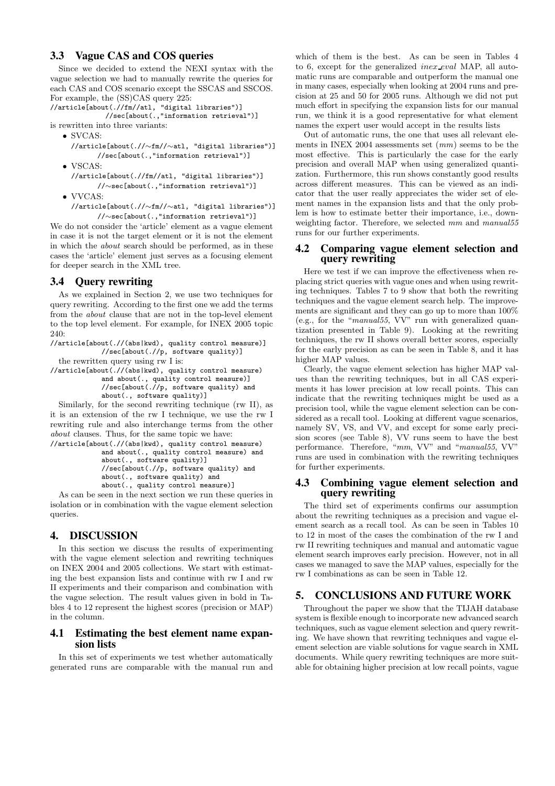#### **3.3 Vague CAS and COS queries**

Since we decided to extend the NEXI syntax with the vague selection we had to manually rewrite the queries for each CAS and COS scenario except the SSCAS and SSCOS. For example, the (SS)CAS query 225:

//article[about(.//fm//atl, "digital libraries")] //sec[about(.,"information retrieval")]

- is rewritten into three variants:
	- SVCAS:
		- //article[about(.//∼fm//∼atl, "digital libraries")] //sec[about(.,"information retrieval")]
	- VSCAS:
	- //article[about(.//fm//atl, "digital libraries")] //∼sec[about(.,"information retrieval")]
	- VVCAS:
	- //article[about(.//∼fm//∼atl, "digital libraries")] //∼sec[about(.,"information retrieval")]

We do not consider the 'article' element as a vague element in case it is not the target element or it is not the element in which the about search should be performed, as in these cases the 'article' element just serves as a focusing element for deeper search in the XML tree.

## **3.4 Query rewriting**

As we explained in Section 2, we use two techniques for query rewriting. According to the first one we add the terms from the about clause that are not in the top-level element to the top level element. For example, for INEX 2005 topic  $240$ 

```
//article[about(.//(abs|kwd), quality control measure)]
           //sec[about(.//p, software quality)]
the rewritten query using rw I is:
```
//article[about(.//(abs|kwd), quality control measure) and about(., quality control measure)] //sec[about(.//p, software quality) and about(., software quality)]

Similarly, for the second rewriting technique (rw II), as it is an extension of the rw I technique, we use the rw I rewriting rule and also interchange terms from the other about clauses. Thus, for the same topic we have:

```
//article[about(.//(abs|kwd), quality control measure)
           and about(., quality control measure) and
           about(., software quality)]
           //sec[about(.//p, software quality) and
           about(., software quality) and
           about(., quality control measure)]
```
As can be seen in the next section we run these queries in isolation or in combination with the vague element selection queries.

## **4. DISCUSSION**

In this section we discuss the results of experimenting with the vague element selection and rewriting techniques on INEX 2004 and 2005 collections. We start with estimating the best expansion lists and continue with rw I and rw II experiments and their comparison and combination with the vague selection. The result values given in bold in Tables 4 to 12 represent the highest scores (precision or MAP) in the column.

## **4.1 Estimating the best element name expansion lists**

In this set of experiments we test whether automatically generated runs are comparable with the manual run and

which of them is the best. As can be seen in Tables 4 to 6, except for the generalized inex eval MAP, all automatic runs are comparable and outperform the manual one in many cases, especially when looking at 2004 runs and precision at 25 and 50 for 2005 runs. Although we did not put much effort in specifying the expansion lists for our manual run, we think it is a good representative for what element names the expert user would accept in the results lists

Out of automatic runs, the one that uses all relevant elements in INEX 2004 assessments set  $(mm)$  seems to be the most effective. This is particularly the case for the early precision and overall MAP when using generalized quantization. Furthermore, this run shows constantly good results across different measures. This can be viewed as an indicator that the user really appreciates the wider set of element names in the expansion lists and that the only problem is how to estimate better their importance, i.e., downweighting factor. Therefore, we selected mm and manual55 runs for our further experiments.

#### **4.2 Comparing vague element selection and query rewriting**

Here we test if we can improve the effectiveness when replacing strict queries with vague ones and when using rewriting techniques. Tables 7 to 9 show that both the rewriting techniques and the vague element search help. The improvements are significant and they can go up to more than 100% (e.g., for the "manual55, VV" run with generalized quantization presented in Table 9). Looking at the rewriting techniques, the rw II shows overall better scores, especially for the early precision as can be seen in Table 8, and it has higher MAP values.

Clearly, the vague element selection has higher MAP values than the rewriting techniques, but in all CAS experiments it has lower precision at low recall points. This can indicate that the rewriting techniques might be used as a precision tool, while the vague element selection can be considered as a recall tool. Looking at different vague scenarios, namely SV, VS, and VV, and except for some early precision scores (see Table 8), VV runs seem to have the best performance. Therefore, "mm, VV" and "manual55, VV" runs are used in combination with the rewriting techniques for further experiments.

## **4.3 Combining vague element selection and query rewriting**

The third set of experiments confirms our assumption about the rewriting techniques as a precision and vague element search as a recall tool. As can be seen in Tables 10 to 12 in most of the cases the combination of the rw I and rw II rewriting techniques and manual and automatic vague element search improves early precision. However, not in all cases we managed to save the MAP values, especially for the rw I combinations as can be seen in Table 12.

## **5. CONCLUSIONS AND FUTURE WORK**

Throughout the paper we show that the TIJAH database system is flexible enough to incorporate new advanced search techniques, such as vague element selection and query rewriting. We have shown that rewriting techniques and vague element selection are viable solutions for vague search in XML documents. While query rewriting techniques are more suitable for obtaining higher precision at low recall points, vague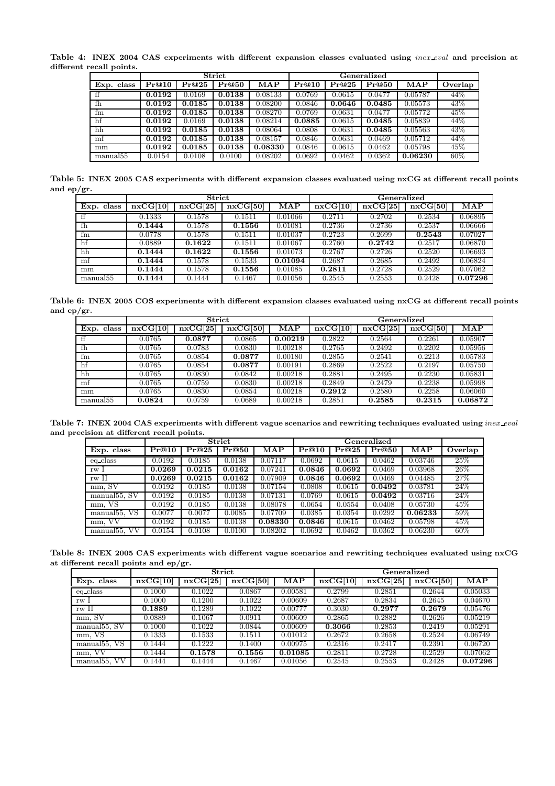Table 4: INEX 2004 CAS experiments with different expansion classes evaluated using *inex eval* and precision at different recall points.

|                        |        |        | <b>Strict</b>       |            |        |        |        |            |         |
|------------------------|--------|--------|---------------------|------------|--------|--------|--------|------------|---------|
| Exp. class             | Pr@10  | Pr@25  | $\overline{\Pr@50}$ | <b>MAP</b> | Pr@10  | Pr@25  | Pr@50  | <b>MAP</b> | Overlap |
| $\overline{f}$         | 0.0192 | 0.0169 | 0.0138              | 0.08133    | 0.0769 | 0.0615 | 0.0477 | 0.05787    | 44%     |
| fh                     | 0.0192 | 0.0185 | 0.0138              | 0.08200    | 0.0846 | 0.0646 | 0.0485 | 0.05573    | 43\%    |
| fm                     | 0.0192 | 0.0185 | 0.0138              | 0.08270    | 0.0769 | 0.0631 | 0.0477 | 0.05772    | 45%     |
| hf                     | 0.0192 | 0.0169 | 0.0138              | 0.08214    | 0.0885 | 0.0615 | 0.0485 | 0.05839    | 44%     |
| hh                     | 0.0192 | 0.0185 | 0.0138              | 0.08064    | 0.0808 | 0.0631 | 0.0485 | 0.05563    | 43%     |
| $\mathop{\mathrm{mf}}$ | 0.0192 | 0.0185 | 0.0138              | 0.08157    | 0.0846 | 0.0631 | 0.0469 | 0.05712    | 44%     |
| mm                     | 0.0192 | 0.0185 | 0.0138              | 0.08330    | 0.0846 | 0.0615 | 0.0462 | 0.05798    | 45%     |
| manual <sup>55</sup>   | 0.0154 | 0.0108 | 0.0100              | 0.08202    | 0.0692 | 0.0462 | 0.0362 | 0.06230    | 60%     |

Table 5: INEX 2005 CAS experiments with different expansion classes evaluated using nxCG at different recall points and ep/gr.

|                        |          | <b>Strict</b> |          |           | Generalized |          |          |            |  |
|------------------------|----------|---------------|----------|-----------|-------------|----------|----------|------------|--|
| Exp. class             | nxCG[10] | nxCG[25]      | nxCG[50] | $\bf MAP$ | nxCG[10]    | nxCG[25] | nxCG[50] | <b>MAP</b> |  |
| ff                     | 0.1333   | 0.1578        | 0.1511   | 0.01066   | 0.2711      | 0.2702   | 0.2534   | 0.06895    |  |
| fh                     | 0.1444   | 0.1578        | 0.1556   | 0.01081   | 0.2736      | 0.2736   | 0.2537   | 0.06666    |  |
| fm                     | 0.0778   | 0.1578        | 0.1511   | 0.01037   | 0.2723      | 0.2699   | 0.2543   | 0.07027    |  |
| hf                     | 0.0889   | 0.1622        | 0.1511   | 0.01067   | 0.2760      | 0.2742   | 0.2517   | 0.06870    |  |
| hh                     | 0.1444   | 0.1622        | 0.1556   | 0.01073   | 0.2767      | 0.2726   | 0.2520   | 0.06693    |  |
| $\mathop{\mathrm{mf}}$ | 0.1444   | 0.1578        | 0.1533   | 0.01094   | 0.2687      | 0.2685   | 0.2492   | 0.06824    |  |
| mm                     | 0.1444   | 0.1578        | 0.1556   | 0.01085   | 0.2811      | 0.2728   | 0.2529   | 0.07062    |  |
| manual <sup>55</sup>   | 0.1444   | 0.1444        | 0.1467   | 0.01056   | 0.2545      | 0.2553   | 0.2428   | 0.07296    |  |

Table 6: INEX 2005 COS experiments with different expansion classes evaluated using nxCG at different recall points and ep/gr.

|                      |          | <b>Strict</b> |          |         |          | Generalized |          |                         |
|----------------------|----------|---------------|----------|---------|----------|-------------|----------|-------------------------|
| Exp. class           | nxCG[10] | nxCG[25]      | nxCG[50] | MAP     | nxCG[10] | nxCG[25]    | nxCG[50] | $\overline{\text{MAP}}$ |
| ff                   | 0.0765   | 0.0877        | 0.0865   | 0.00219 | 0.2822   | 0.2564      | 0.2261   | 0.05907                 |
| fh                   | 0.0765   | 0.0783        | 0.0830   | 0.00218 | 0.2765   | 0.2492      | 0.2202   | 0.05956                 |
| fm                   | 0.0765   | 0.0854        | 0.0877   | 0.00180 | 0.2855   | 0.2541      | 0.2213   | 0.05783                 |
| hf                   | 0.0765   | 0.0854        | 0.0877   | 0.00191 | 0.2869   | 0.2522      | 0.2197   | 0.05750                 |
| hh                   | 0.0765   | 0.0830        | 0.0842   | 0.00218 | 0.2881   | 0.2495      | 0.2230   | 0.05831                 |
| mf                   | 0.0765   | 0.0759        | 0.0830   | 0.00218 | 0.2849   | 0.2479      | 0.2238   | 0.05998                 |
| mm                   | 0.0765   | 0.0830        | 0.0854   | 0.00218 | 0.2912   | 0.2580      | 0.2258   | 0.06060                 |
| manual <sup>55</sup> | 0.0824   | 0.0759        | 0.0689   | 0.00218 | 0.2851   | 0.2585      | 0.2315   | 0.06872                 |

Table 7: INEX 2004 CAS experiments with different vague scenarios and rewriting techniques evaluated using  $\emph{inex\_eval}$ and precision at different recall points.

|                           |        |        | Strict |           |        |        | Generalized |                |         |
|---------------------------|--------|--------|--------|-----------|--------|--------|-------------|----------------|---------|
| Exp. class                | Pr@10  | Pr@25  | Pr@50  | $\bf MAP$ | Pr@10  | Pr@25  | Pr@50       | $\mathbf{MAP}$ | Overlap |
| eq_class                  | 0.0192 | 0.0185 | 0.0138 | 0.07117   | 0.0692 | 0.0615 | 0.0462      | 0.03746        | 25\%    |
| rw 1                      | 0.0269 | 0.0215 | 0.0162 | 0.07241   | 0.0846 | 0.0692 | 0.0469      | 0.03968        | 26\%    |
| rw II                     | 0.0269 | 0.0215 | 0.0162 | 0.07909   | 0.0846 | 0.0692 | 0.0469      | 0.04485        | 27%     |
| mm. SV                    | 0.0192 | 0.0185 | 0.0138 | 0.07154   | 0.0808 | 0.0615 | 0.0492      | 0.03781        | 24%     |
| manual <sup>55</sup> , SV | 0.0192 | 0.0185 | 0.0138 | 0.07131   | 0.0769 | 0.0615 | 0.0492      | 0.03716        | 24%     |
| mm, VS                    | 0.0192 | 0.0185 | 0.0138 | 0.08078   | 0.0654 | 0.0554 | 0.0408      | 0.05730        | 45%     |
| manual <sup>55</sup> , VS | 0.0077 | 0.0077 | 0.0085 | 0.07709   | 0.0385 | 0.0354 | 0.0292      | 0.06233        | 59%     |
| VV<br>mm.                 | 0.0192 | 0.0185 | 0.0138 | 0.08330   | 0.0846 | 0.0615 | 0.0462      | 0.05798        | 45\%    |
| manual <sub>55</sub> , VV | 0.0154 | 0.0108 | 0.0100 | 0.08202   | 0.0692 | 0.0462 | 0.0362      | 0.06230        | 60%     |

Table 8: INEX 2005 CAS experiments with different vague scenarios and rewriting techniques evaluated using nxCG at different recall points and ep/gr.

|                              |          | <b>Strict</b> |          |         | Generalized |          |          |         |  |  |
|------------------------------|----------|---------------|----------|---------|-------------|----------|----------|---------|--|--|
| Exp. class                   | nxCG[10] | nxCG[25]      | nxCG[50] | MAP     | nxCG[10]    | nxCG[25] | nxCG[50] | MAP     |  |  |
| eq_class                     | 0.1000   | 0.1022        | 0.0867   | 0.00581 | 0.2799      | 0.2851   | 0.2644   | 0.05033 |  |  |
| rw 1                         | 0.1000   | 0.1200        | 0.1022   | 0.00609 | 0.2687      | 0.2834   | 0.2645   | 0.04670 |  |  |
| rw II                        | 0.1889   | 0.1289        | 0.1022   | 0.00777 | 0.3030      | 0.2977   | 0.2679   | 0.05476 |  |  |
| mm, SV                       | 0.0889   | 0.1067        | 0.0911   | 0.00609 | 0.2865      | 0.2882   | 0.2626   | 0.05219 |  |  |
| manual $55, S\overline{V}$   | 0.1000   | 0.1022        | 0.0844   | 0.00609 | 0.3066      | 0.2853   | 0.2419   | 0.05291 |  |  |
| mm, VS                       | 0.1333   | 0.1533        | 0.1511   | 0.01012 | 0.2672      | 0.2658   | 0.2524   | 0.06749 |  |  |
| VS<br>manual <sub>55</sub>   | 0.1444   | 0.1222        | 0.1400   | 0.00975 | 0.2316      | 0.2417   | 0.2391   | 0.06720 |  |  |
| mm,                          | 0.1444   | 0.1578        | 0.1556   | 0.01085 | 0.2811      | 0.2728   | 0.2529   | 0.07062 |  |  |
| VV<br>manual <sub>55</sub> , | 0.1444   | 0.1444        | 0.1467   | 0.01056 | 0.2545      | 0.2553   | 0.2428   | 0.07296 |  |  |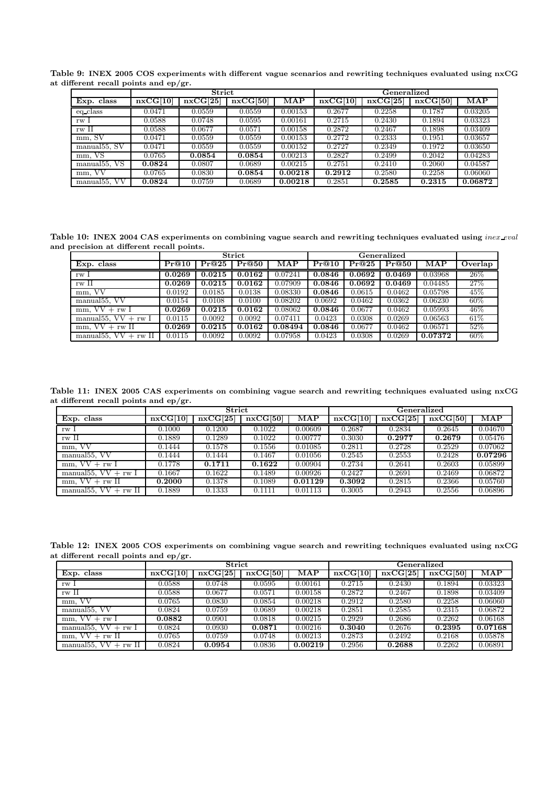Table 9: INEX 2005 COS experiments with different vague scenarios and rewriting techniques evaluated using nxCG at different recall points and ep/gr.

|                              |          | Strict   |          |         |          | ${\bf Generalized}$ |          |         |
|------------------------------|----------|----------|----------|---------|----------|---------------------|----------|---------|
| Exp. class                   | nxCG[10] | nxCG[25] | nxCG[50] | MAP     | nxCG[10] | nxCG[25]            | nxCG[50] | MAP     |
| eq_class                     | 0.0471   | 0.0559   | 0.0559   | 0.00153 | 0.2677   | 0.2258              | 0.1787   | 0.03205 |
| rw 1                         | 0.0588   | 0.0748   | 0.0595   | 0.00161 | 0.2715   | 0.2430              | 0.1894   | 0.03323 |
| rw II                        | 0.0588   | 0.0677   | 0.0571   | 0.00158 | 0.2872   | 0.2467              | 0.1898   | 0.03409 |
| mm, SV                       | 0.0471   | 0.0559   | 0.0559   | 0.00153 | 0.2772   | 0.2333              | 0.1951   | 0.03657 |
| manual $55, S\overline{V}$   | 0.0471   | 0.0559   | 0.0559   | 0.00152 | 0.2727   | 0.2349              | 0.1972   | 0.03650 |
| mm, VS                       | 0.0765   | 0.0854   | 0.0854   | 0.00213 | 0.2827   | 0.2499              | 0.2042   | 0.04283 |
| VS<br>manual <sup>55</sup> , | 0.0824   | 0.0807   | 0.0689   | 0.00215 | 0.2751   | 0.2410              | 0.2060   | 0.04587 |
| mm, VV                       | 0.0765   | 0.0830   | 0.0854   | 0.00218 | 0.2912   | 0.2580              | 0.2258   | 0.06060 |
| VV<br>manual <sup>55</sup> . | 0.0824   | 0.0759   | 0.0689   | 0.00218 | 0.2851   | 0.2585              | 0.2315   | 0.06872 |

Table 10: INEX 2004 CAS experiments on combining vague search and rewriting techniques evaluated using *inex\_eval* and precision at different recall points.

|                                           |        |        | Strict |                         |        |        | Generalized |         |         |
|-------------------------------------------|--------|--------|--------|-------------------------|--------|--------|-------------|---------|---------|
| Exp. class                                | Pr@10  | Pr@25  | Pr@50  | $\overline{\text{MAP}}$ | Pr@10  | Pr@25  | Pr@50       | MAP     | Overlap |
| rw <sub>I</sub>                           | 0.0269 | 0.0215 | 0.0162 | 0.07241                 | 0.0846 | 0.0692 | 0.0469      | 0.03968 | 26\%    |
| rw II                                     | 0.0269 | 0.0215 | 0.0162 | 0.07909                 | 0.0846 | 0.0692 | 0.0469      | 0.04485 | 27%     |
| mm, VV                                    | 0.0192 | 0.0185 | 0.0138 | 0.08330                 | 0.0846 | 0.0615 | 0.0462      | 0.05798 | 45%     |
| manual <sub>55</sub> , VV                 | 0.0154 | 0.0108 | 0.0100 | 0.08202                 | 0.0692 | 0.0462 | 0.0362      | 0.06230 | 60%     |
| $mm$ , $VV + rw$ I                        | 0.0269 | 0.0215 | 0.0162 | 0.08062                 | 0.0846 | 0.0677 | 0.0462      | 0.05993 | 46%     |
| manual 55, $VV + rw$ I                    | 0.0115 | 0.0092 | 0.0092 | 0.07411                 | 0.0423 | 0.0308 | 0.0269      | 0.06563 | 61\%    |
| $mm, VV + rw II$                          | 0.0269 | 0.0215 | 0.0162 | 0.08494                 | 0.0846 | 0.0677 | 0.0462      | 0.06571 | 52%     |
| manual <sup>55</sup> .<br>VV<br>$+$ rw II | 0.0115 | 0.0092 | 0.0092 | 0.07958                 | 0.0423 | 0.0308 | 0.0269      | 0.07372 | $60\%$  |

Table 11: INEX 2005 CAS experiments on combining vague search and rewriting techniques evaluated using nxCG at different recall points and ep/gr.

|                                    |          | Strict   |          |                | Generalized |          |          |                |  |
|------------------------------------|----------|----------|----------|----------------|-------------|----------|----------|----------------|--|
| Exp. class                         | nxCG[10] | nxCG[25] | nxCG[50] | $\mathbf{MAP}$ | nxCG[10]    | nxCG[25] | nxCG[50] | $\mathbf{MAP}$ |  |
| rw <sub>I</sub>                    | 0.1000   | 0.1200   | 0.1022   | 0.00609        | 0.2687      | 0.2834   | 0.2645   | 0.04670        |  |
| rw II                              | 0.1889   | 0.1289   | 0.1022   | 0.00777        | 0.3030      | 0.2977   | 0.2679   | 0.05476        |  |
| mm, VV                             | 0.1444   | 0.1578   | 0.1556   | 0.01085        | 0.2811      | 0.2728   | 0.2529   | 0.07062        |  |
| manual <sup>55</sup> , VV          | 0.1444   | 0.1444   | 0.1467   | 0.01056        | 0.2545      | 0.2553   | 0.2428   | 0.07296        |  |
| $mm$ , $VV + rw$ I                 | 0.1778   | 0.1711   | 0.1622   | 0.00904        | 0.2734      | 0.2641   | 0.2603   | 0.05899        |  |
| manual 55, $VV + rw I$             | 0.1667   | 0.1622   | 0.1489   | 0.00926        | 0.2427      | 0.2691   | 0.2469   | 0.06872        |  |
| $mm, VV + rw II$                   | 0.2000   | 0.1378   | 0.1089   | 0.01129        | 0.3092      | 0.2815   | 0.2366   | 0.05760        |  |
| manual 55, $\overline{VV}$ + rw II | 0.1889   | 0.1333   | 0.1111   | 0.01113        | 0.3005      | 0.2943   | 0.2556   | 0.06896        |  |

Table 12: INEX 2005 COS experiments on combining vague search and rewriting techniques evaluated using nxCG at different recall points and ep/gr.

|                                      |          | Strict   |          |         |          | ${\bf Generalized}$ |          |         |
|--------------------------------------|----------|----------|----------|---------|----------|---------------------|----------|---------|
| Exp. class                           | nxCG[10] | nxCG[25] | nxCG[50] | MAP     | nxCG[10] | nxCG[25]            | nxCG[50] | MAP     |
| rw I                                 | 0.0588   | 0.0748   | 0.0595   | 0.00161 | 0.2715   | 0.2430              | 0.1894   | 0.03323 |
| rw II                                | 0.0588   | 0.0677   | 0.0571   | 0.00158 | 0.2872   | 0.2467              | 0.1898   | 0.03409 |
| mm, VV                               | 0.0765   | 0.0830   | 0.0854   | 0.00218 | 0.2912   | 0.2580              | 0.2258   | 0.06060 |
| manual $55$ , $\overline{\text{VV}}$ | 0.0824   | 0.0759   | 0.0689   | 0.00218 | 0.2851   | 0.2585              | 0.2315   | 0.06872 |
| $mm. VV + rwI$                       | 0.0882   | 0.0901   | 0.0818   | 0.00215 | 0.2929   | 0.2686              | 0.2262   | 0.06168 |
| manual 55, $VV + rw I$               | 0.0824   | 0.0930   | 0.0871   | 0.00216 | 0.3040   | 0.2676              | 0.2395   | 0.07168 |
| $mm$ , $VV + rw$ II                  | 0.0765   | 0.0759   | 0.0748   | 0.00213 | 0.2873   | 0.2492              | 0.2168   | 0.05878 |
| manual 55, $\overline{VV}$ + rw II   | 0.0824   | 0.0954   | 0.0836   | 0.00219 | 0.2956   | 0.2688              | 0.2262   | 0.06891 |